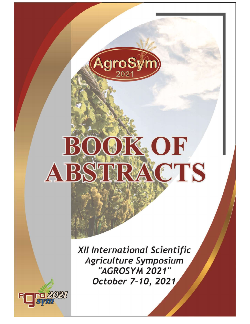

## XOK OF  $B$ ABSTRACTS

XII International Scientific Agriculture Symposium "AGROSYM 2021" October 7-10, 2021

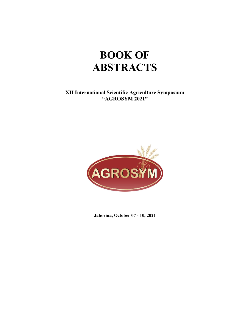# BOOK OF **ABSTRACTS**  $\begin{array}{l} \textbf{BOOK OF} \\\textbf{ABSTRACTS} \end{array}$ XII International Scientific Agriculture Symposium "AGROSYM 2021"

XII International Scientific Agriculture Symposium<br>
"AGROSYM 2021"